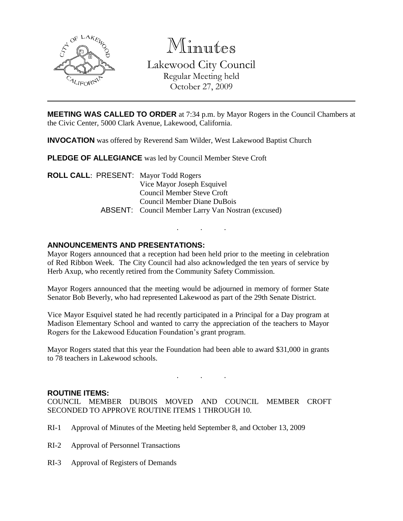

Minutes Lakewood City Council Regular Meeting held October 27, 2009

**MEETING WAS CALLED TO ORDER** at 7:34 p.m. by Mayor Rogers in the Council Chambers at the Civic Center, 5000 Clark Avenue, Lakewood, California.

**INVOCATION** was offered by Reverend Sam Wilder, West Lakewood Baptist Church

**PLEDGE OF ALLEGIANCE** was led by Council Member Steve Croft

**ROLL CALL**: PRESENT: Mayor Todd Rogers Vice Mayor Joseph Esquivel Council Member Steve Croft Council Member Diane DuBois ABSENT: Council Member Larry Van Nostran (excused)

## **ANNOUNCEMENTS AND PRESENTATIONS:**

Mayor Rogers announced that a reception had been held prior to the meeting in celebration of Red Ribbon Week. The City Council had also acknowledged the ten years of service by Herb Axup, who recently retired from the Community Safety Commission.

. . .

Mayor Rogers announced that the meeting would be adjourned in memory of former State Senator Bob Beverly, who had represented Lakewood as part of the 29th Senate District.

Vice Mayor Esquivel stated he had recently participated in a Principal for a Day program at Madison Elementary School and wanted to carry the appreciation of the teachers to Mayor Rogers for the Lakewood Education Foundation's grant program.

Mayor Rogers stated that this year the Foundation had been able to award \$31,000 in grants to 78 teachers in Lakewood schools.

. . .

### **ROUTINE ITEMS:**

COUNCIL MEMBER DUBOIS MOVED AND COUNCIL MEMBER CROFT SECONDED TO APPROVE ROUTINE ITEMS 1 THROUGH 10.

- RI-1 Approval of Minutes of the Meeting held September 8, and October 13, 2009
- RI-2 Approval of Personnel Transactions
- RI-3 Approval of Registers of Demands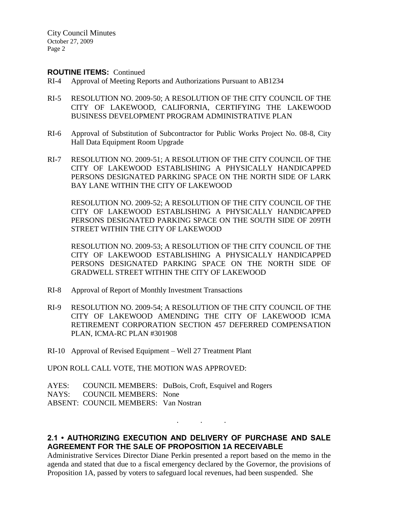City Council Minutes October 27, 2009 Page 2

### **ROUTINE ITEMS:** Continued

- RI-4 Approval of Meeting Reports and Authorizations Pursuant to AB1234
- RI-5 RESOLUTION NO. 2009-50; A RESOLUTION OF THE CITY COUNCIL OF THE CITY OF LAKEWOOD, CALIFORNIA, CERTIFYING THE LAKEWOOD BUSINESS DEVELOPMENT PROGRAM ADMINISTRATIVE PLAN
- RI-6 Approval of Substitution of Subcontractor for Public Works Project No. 08-8, City Hall Data Equipment Room Upgrade
- RI-7 RESOLUTION NO. 2009-51; A RESOLUTION OF THE CITY COUNCIL OF THE CITY OF LAKEWOOD ESTABLISHING A PHYSICALLY HANDICAPPED PERSONS DESIGNATED PARKING SPACE ON THE NORTH SIDE OF LARK BAY LANE WITHIN THE CITY OF LAKEWOOD

RESOLUTION NO. 2009-52; A RESOLUTION OF THE CITY COUNCIL OF THE CITY OF LAKEWOOD ESTABLISHING A PHYSICALLY HANDICAPPED PERSONS DESIGNATED PARKING SPACE ON THE SOUTH SIDE OF 209TH STREET WITHIN THE CITY OF LAKEWOOD

RESOLUTION NO. 2009-53; A RESOLUTION OF THE CITY COUNCIL OF THE CITY OF LAKEWOOD ESTABLISHING A PHYSICALLY HANDICAPPED PERSONS DESIGNATED PARKING SPACE ON THE NORTH SIDE OF GRADWELL STREET WITHIN THE CITY OF LAKEWOOD

- RI-8 Approval of Report of Monthly Investment Transactions
- RI-9 RESOLUTION NO. 2009-54; A RESOLUTION OF THE CITY COUNCIL OF THE CITY OF LAKEWOOD AMENDING THE CITY OF LAKEWOOD ICMA RETIREMENT CORPORATION SECTION 457 DEFERRED COMPENSATION PLAN, ICMA-RC PLAN #301908
- RI-10 Approval of Revised Equipment Well 27 Treatment Plant

UPON ROLL CALL VOTE, THE MOTION WAS APPROVED:

AYES: COUNCIL MEMBERS: DuBois, Croft, Esquivel and Rogers NAYS: COUNCIL MEMBERS: None ABSENT: COUNCIL MEMBERS: Van Nostran

# **2.1 • AUTHORIZING EXECUTION AND DELIVERY OF PURCHASE AND SALE AGREEMENT FOR THE SALE OF PROPOSITION 1A RECEIVABLE**

. . .

Administrative Services Director Diane Perkin presented a report based on the memo in the agenda and stated that due to a fiscal emergency declared by the Governor, the provisions of Proposition 1A, passed by voters to safeguard local revenues, had been suspended. She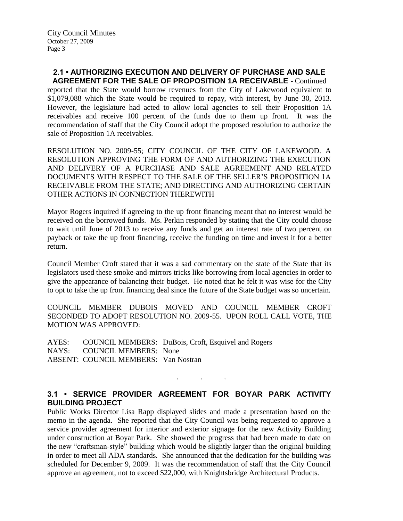# **2.1 • AUTHORIZING EXECUTION AND DELIVERY OF PURCHASE AND SALE**

**AGREEMENT FOR THE SALE OF PROPOSITION 1A RECEIVABLE** - Continued reported that the State would borrow revenues from the City of Lakewood equivalent to \$1,079,088 which the State would be required to repay, with interest, by June 30, 2013. However, the legislature had acted to allow local agencies to sell their Proposition 1A receivables and receive 100 percent of the funds due to them up front. It was the recommendation of staff that the City Council adopt the proposed resolution to authorize the sale of Proposition 1A receivables.

RESOLUTION NO. 2009-55; CITY COUNCIL OF THE CITY OF LAKEWOOD. A RESOLUTION APPROVING THE FORM OF AND AUTHORIZING THE EXECUTION AND DELIVERY OF A PURCHASE AND SALE AGREEMENT AND RELATED DOCUMENTS WITH RESPECT TO THE SALE OF THE SELLER'S PROPOSITION 1A RECEIVABLE FROM THE STATE; AND DIRECTING AND AUTHORIZING CERTAIN OTHER ACTIONS IN CONNECTION THEREWITH

Mayor Rogers inquired if agreeing to the up front financing meant that no interest would be received on the borrowed funds. Ms. Perkin responded by stating that the City could choose to wait until June of 2013 to receive any funds and get an interest rate of two percent on payback or take the up front financing, receive the funding on time and invest it for a better return.

Council Member Croft stated that it was a sad commentary on the state of the State that its legislators used these smoke-and-mirrors tricks like borrowing from local agencies in order to give the appearance of balancing their budget. He noted that he felt it was wise for the City to opt to take the up front financing deal since the future of the State budget was so uncertain.

COUNCIL MEMBER DUBOIS MOVED AND COUNCIL MEMBER CROFT SECONDED TO ADOPT RESOLUTION NO. 2009-55. UPON ROLL CALL VOTE, THE MOTION WAS APPROVED:

AYES: COUNCIL MEMBERS: DuBois, Croft, Esquivel and Rogers NAYS: COUNCIL MEMBERS: None ABSENT: COUNCIL MEMBERS: Van Nostran

# **3.1 • SERVICE PROVIDER AGREEMENT FOR BOYAR PARK ACTIVITY BUILDING PROJECT**

. . .

Public Works Director Lisa Rapp displayed slides and made a presentation based on the memo in the agenda. She reported that the City Council was being requested to approve a service provider agreement for interior and exterior signage for the new Activity Building under construction at Boyar Park. She showed the progress that had been made to date on the new "craftsman-style" building which would be slightly larger than the original building in order to meet all ADA standards. She announced that the dedication for the building was scheduled for December 9, 2009. It was the recommendation of staff that the City Council approve an agreement, not to exceed \$22,000, with Knightsbridge Architectural Products.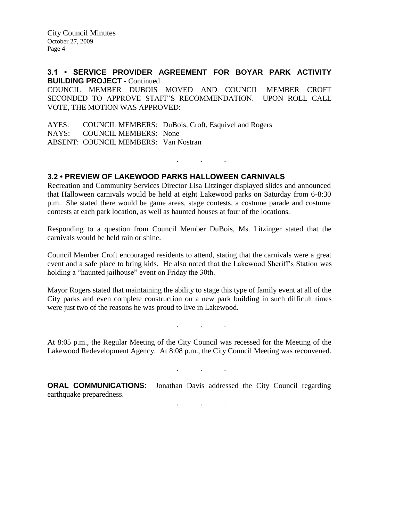City Council Minutes October 27, 2009 Page 4

**3.1 • SERVICE PROVIDER AGREEMENT FOR BOYAR PARK ACTIVITY BUILDING PROJECT** - Continued COUNCIL MEMBER DUBOIS MOVED AND COUNCIL MEMBER CROFT SECONDED TO APPROVE STAFF'S RECOMMENDATION. UPON ROLL CALL VOTE, THE MOTION WAS APPROVED:

AYES: COUNCIL MEMBERS: DuBois, Croft, Esquivel and Rogers NAYS: COUNCIL MEMBERS: None ABSENT: COUNCIL MEMBERS: Van Nostran

## **3.2 • PREVIEW OF LAKEWOOD PARKS HALLOWEEN CARNIVALS**

Recreation and Community Services Director Lisa Litzinger displayed slides and announced that Halloween carnivals would be held at eight Lakewood parks on Saturday from 6-8:30 p.m. She stated there would be game areas, stage contests, a costume parade and costume contests at each park location, as well as haunted houses at four of the locations.

. . .

Responding to a question from Council Member DuBois, Ms. Litzinger stated that the carnivals would be held rain or shine.

Council Member Croft encouraged residents to attend, stating that the carnivals were a great event and a safe place to bring kids. He also noted that the Lakewood Sheriff's Station was holding a "haunted jailhouse" event on Friday the 30th.

Mayor Rogers stated that maintaining the ability to stage this type of family event at all of the City parks and even complete construction on a new park building in such difficult times were just two of the reasons he was proud to live in Lakewood.

At 8:05 p.m., the Regular Meeting of the City Council was recessed for the Meeting of the Lakewood Redevelopment Agency. At 8:08 p.m., the City Council Meeting was reconvened.

. . .

. . .

. . .

**ORAL COMMUNICATIONS:** Jonathan Davis addressed the City Council regarding earthquake preparedness.